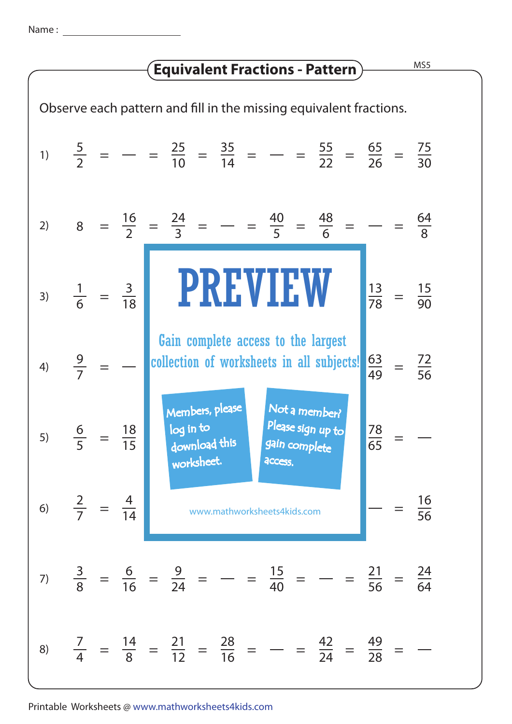